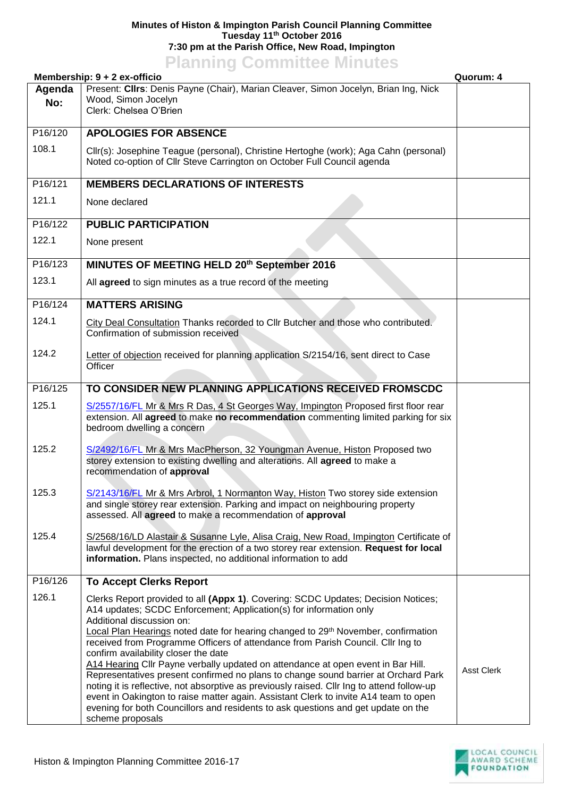## **Minutes of Histon & Impington Parish Council Planning Committee Tuesday 11th October 2016 7:30 pm at the Parish Office, New Road, Impington**

## **Planning Committee Minutes**

|         | Membership: 9 + 2 ex-officio                                                                                                                                                                                                                                                                                                                                                                       | Quorum: 4         |
|---------|----------------------------------------------------------------------------------------------------------------------------------------------------------------------------------------------------------------------------------------------------------------------------------------------------------------------------------------------------------------------------------------------------|-------------------|
| Agenda  | Present: Cllrs: Denis Payne (Chair), Marian Cleaver, Simon Jocelyn, Brian Ing, Nick                                                                                                                                                                                                                                                                                                                |                   |
| No:     | Wood, Simon Jocelyn<br>Clerk: Chelsea O'Brien                                                                                                                                                                                                                                                                                                                                                      |                   |
|         |                                                                                                                                                                                                                                                                                                                                                                                                    |                   |
| P16/120 | <b>APOLOGIES FOR ABSENCE</b>                                                                                                                                                                                                                                                                                                                                                                       |                   |
| 108.1   | Cllr(s): Josephine Teague (personal), Christine Hertoghe (work); Aga Cahn (personal)<br>Noted co-option of Cllr Steve Carrington on October Full Council agenda                                                                                                                                                                                                                                    |                   |
|         |                                                                                                                                                                                                                                                                                                                                                                                                    |                   |
| P16/121 | <b>MEMBERS DECLARATIONS OF INTERESTS</b>                                                                                                                                                                                                                                                                                                                                                           |                   |
| 121.1   | None declared                                                                                                                                                                                                                                                                                                                                                                                      |                   |
| P16/122 | <b>PUBLIC PARTICIPATION</b>                                                                                                                                                                                                                                                                                                                                                                        |                   |
| 122.1   | None present                                                                                                                                                                                                                                                                                                                                                                                       |                   |
| P16/123 | MINUTES OF MEETING HELD 20th September 2016                                                                                                                                                                                                                                                                                                                                                        |                   |
| 123.1   | All agreed to sign minutes as a true record of the meeting                                                                                                                                                                                                                                                                                                                                         |                   |
| P16/124 | <b>MATTERS ARISING</b>                                                                                                                                                                                                                                                                                                                                                                             |                   |
| 124.1   | City Deal Consultation Thanks recorded to Cllr Butcher and those who contributed.<br>Confirmation of submission received                                                                                                                                                                                                                                                                           |                   |
| 124.2   | Letter of objection received for planning application S/2154/16, sent direct to Case                                                                                                                                                                                                                                                                                                               |                   |
|         | Officer                                                                                                                                                                                                                                                                                                                                                                                            |                   |
| P16/125 | TO CONSIDER NEW PLANNING APPLICATIONS RECEIVED FROMSCDC                                                                                                                                                                                                                                                                                                                                            |                   |
| 125.1   | S/2557/16/FL Mr & Mrs R Das, 4 St Georges Way, Impington Proposed first floor rear<br>extension. All agreed to make no recommendation commenting limited parking for six<br>bedroom dwelling a concern                                                                                                                                                                                             |                   |
| 125.2   | S/2492/16/FL Mr & Mrs MacPherson, 32 Youngman Avenue, Histon Proposed two<br>storey extension to existing dwelling and alterations. All agreed to make a<br>recommendation of approval                                                                                                                                                                                                             |                   |
| 125.3   | S/2143/16/FL Mr & Mrs Arbrol, 1 Normanton Way, Histon Two storey side extension<br>and single storey rear extension. Parking and impact on neighbouring property<br>assessed. All agreed to make a recommendation of approval                                                                                                                                                                      |                   |
| 125.4   | S/2568/16/LD Alastair & Susanne Lyle, Alisa Craig, New Road, Impington Certificate of<br>lawful development for the erection of a two storey rear extension. Request for local<br>information. Plans inspected, no additional information to add                                                                                                                                                   |                   |
| P16/126 | <b>To Accept Clerks Report</b>                                                                                                                                                                                                                                                                                                                                                                     |                   |
| 126.1   | Clerks Report provided to all (Appx 1). Covering: SCDC Updates; Decision Notices;<br>A14 updates; SCDC Enforcement; Application(s) for information only<br>Additional discussion on:                                                                                                                                                                                                               |                   |
|         | Local Plan Hearings noted date for hearing changed to 29 <sup>th</sup> November, confirmation<br>received from Programme Officers of attendance from Parish Council. Cllr Ing to<br>confirm availability closer the date<br>A14 Hearing Cllr Payne verbally updated on attendance at open event in Bar Hill.<br>Representatives present confirmed no plans to change sound barrier at Orchard Park | <b>Asst Clerk</b> |
|         | noting it is reflective, not absorptive as previously raised. Cllr Ing to attend follow-up<br>event in Oakington to raise matter again. Assistant Clerk to invite A14 team to open<br>evening for both Councillors and residents to ask questions and get update on the<br>scheme proposals                                                                                                        |                   |